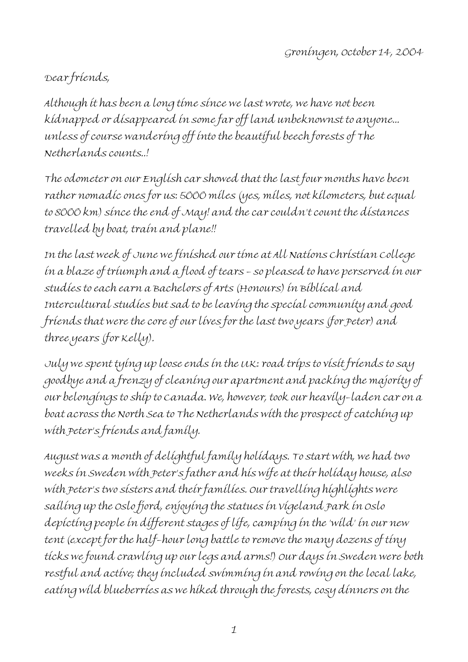## Dear friends,

Although it has been a long time since we last wrote, we have not been kidnapped or disappeared in some far off land unbeknownst to anyone... unless of course wandering off into the beautiful beech forests of The Netherlands counts..!

The odometer on our English car showed that the last four months have been rather nomadic ones for us: 5000 miles (yes, miles, not kilometers, but equal to 8000 km) since the end of May! and the car couldn't count the distances travelled by boat, train and plane!!

In the last week of June we finished our time at All Nations Christian College in a blaze of triumph and a flood of tears - so pleased to have perserved in our studies to each earn a Bachelors of Arts (Honours) in Biblical and Intercultural studies but sad to be leaving the special community and good friends that were the core of our lives for the last two years (for Peter) and three years (for Kelly).

July we spent tying up loose ends in the UK: road trips to visit friends to say goodbye and a frenzy of cleaning our apartment and packing the majority of our belongings to ship to Canada. We, however, took our heavily-laden car on a boat across the North Sea to The Netherlands with the prospect of catching up with Peter's friends and family.

August was a month of delightful family holidays. To start with, we had two weeks in Sweden with Peter's father and his wife at their holiday house, also with Peter's two sisters and their families. Our travelling highlights were sailing up the Oslo fjord, enjoying the statues in Vigeland Park in Oslo depicting people in different stages of life, camping in the 'wild' in our new tent (except for the half-hour long battle to remove the many dozens of tiny ticks we found crawling up our legs and arms!) Our days in Sweden were both restful and active; they included swimming in and rowing on the local lake, eating wild blueberries as we hiked through the forests, cosy dinners on the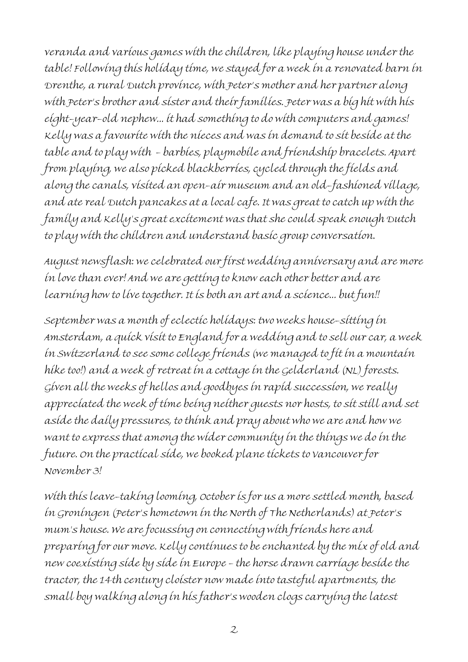veranda and various games with the children, like playing house under the table! Following this holiday time, we stayed for a week in a renovated barn in Drenthe, a rural Dutch province, with Peter's mother and her partner along with Peter's brother and sister and their families. Peter was a big hit with his eight-year-old nephew... it had something to do with computers and games! Kelly was a favourite with the nieces and was in demand to sit beside at the table and to play with - barbies, playmobile and friendship bracelets. Apart from playing, we also picked blackberries, cycled through the fields and along the canals, visited an open-air museum and an old-fashioned village, and ate real Dutch pancakes at a local cafe. It was great to catch up with the family and Kelly's great excitement was that she could speak enough Dutch to play with the children and understand basic group conversation.

August newsflash: we celebrated our first wedding anniversary and are more in love than ever! And we are getting to know each other better and are learning how to live together. It is both an art and a science... but fun!!

September was a month of eclectic holidays: two weeks house-sitting in Amsterdam, a quick visit to England for a wedding and to sell our car, a week in Switzerland to see some college friends (we managed to fit in a mountain hike too!) and a week of retreat in a cottage in the Gelderland (NL) forests. Given all the weeks of hellos and goodbyes in rapid succession, we really appreciated the week of time being neither guests nor hosts, to sit still and set aside the daily pressures, to think and pray about who we are and how we want to express that among the wider community in the things we do in the future. On the practical side, we booked plane tickets to Vancouver for November 3!

With this leave-taking looming, October is for us a more settled month, based in Groningen (Peter's hometown in the North of The Netherlands) at Peter's mum's house. We are focussing on connecting with friends here and preparing for our move. Kelly continues to be enchanted by the mix of old and new coexisting side by side in Europe - the horse drawn carriage beside the tractor, the 14th century cloister now made into tasteful apartments, the small boy walking along in his father's wooden clogs carrying the latest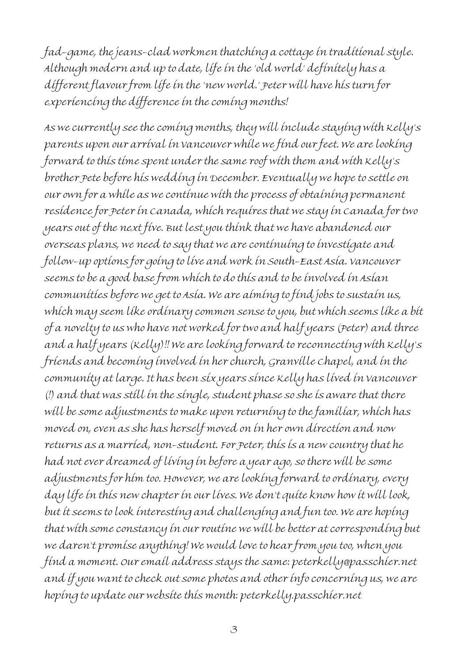fad-game, the jeans-clad workmen thatching a cottage in traditional style. Although modern and up to date, life in the 'old world' definitely has a different flavour from life in the 'new world.' Peter will have his turn for experiencing the difference in the coming months!

As we currently see the coming months, they will include staying with Kelly's parents upon our arrival in Vancouver while we find our feet. We are looking forward to this time spent under the same roof with them and with Kelly's brother Pete before his wedding in December. Eventually we hope to settle on our own for a while as we continue with the process of obtaining permanent residence for Peter in Canada, which requires that we stay in Canada for two years out of the next five. But lest you think that we have abandoned our overseas plans, we need to say that we are continuing to investigate and follow-up options for going to live and work in South-East Asia. Vancouver seems to be a good base from which to do this and to be involved in Asian communities before we get to Asia. We are aiming to find jobs to sustain us, which may seem like ordinary common sense to you, but which seems like a bit of a novelty to us who have not worked for two and half years (Peter) and three and a half years (Kelly)!! We are looking forward to reconnecting with Kelly's friends and becoming involved in her church, Granville Chapel, and in the community at large. It has been six years since Kelly has lived in Vancouver (!) and that was still in the single, student phase so she is aware that there will be some adjustments to make upon returning to the familiar, which has moved on, even as she has herself moved on in her own direction and now returns as a married, non-student. For Peter, this is a new country that he had not ever dreamed of living in before a year ago, so there will be some adjustments for him too. However, we are looking forward to ordinary, every day life in this new chapter in our lives. We don't quite know how it will look, but it seems to look interesting and challenging and fun too. We are hoping that with some constancy in our routine we will be better at corresponding but we daren't promise anything! We would love to hear from you too, when you find a moment. Our email address stays the same: peterkelly@passchier.net and if you want to check out some photos and other info concerning us, we are hoping to update our website this month: peterkelly.passchier.net